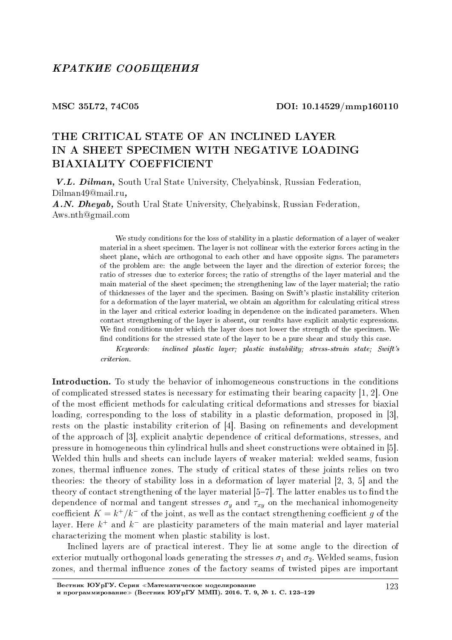### MSC 35L72, 74C05 DOI: 10.14529/mmp160110

# THE CRITICAL STATE OF AN INCLINED LAYER IN A SHEET SPECIMEN WITH NEGATIVE LOADING BIAXIALITY COEFFICIENT

V.L. Dilman, South Ural State University, Chelyabinsk, Russian Federation, Dilman49@mail.ru,

A.N. Dheyab, South Ural State University, Chelyabinsk, Russian Federation, Aws.nth@gmail.com

> We study conditions for the loss of stability in a plastic deformation of a layer of weaker material in a sheet specimen. The layer is not collinear with the exterior forces acting in the sheet plane, which are orthogonal to each other and have opposite signs. The parameters of the problem are: the angle between the layer and the direction of exterior forces; the ratio of stresses due to exterior forces; the ratio of strengths of the layer material and the main material of the sheet specimen; the strengthening law of the layer material; the ratio of thicknesses of the layer and the specimen. Basing on Swift's plastic instability criterion for a deformation of the layer material, we obtain an algorithm for calculating critical stress in the layer and critical exterior loading in dependence on the indicated parameters. When contact strengthening of the layer is absent, our results have explicit analytic expressions. We find conditions under which the layer does not lower the strength of the specimen. We find conditions for the stressed state of the layer to be a pure shear and study this case.

> Keywords: inclined plastic layer; plastic instability; stress-strain state; Swift's criterion.

Introduction. To study the behavior of inhomogeneous constructions in the conditions of complicated stressed states is necessary for estimating their bearing capacity [1, 2]. One of the most efficient methods for calculating critical deformations and stresses for biaxial loading, corresponding to the loss of stability in a plastic deformation, proposed in [3], rests on the plastic instability criterion of  $[4]$ . Basing on refinements and development of the approach of [3], explicit analytic dependence of critical deformations, stresses, and pressure in homogeneous thin cylindrical hulls and sheet constructions were obtained in [5]. Welded thin hulls and sheets can include layers of weaker material: welded seams, fusion zones, thermal influence zones. The study of critical states of these joints relies on two theories: the theory of stability loss in a deformation of layer material [2, 3, 5] and the theory of contact strengthening of the layer material  $[5-7]$ . The latter enables us to find the dependence of normal and tangent stresses  $\sigma_y$  and  $\tau_{xy}$  on the mechanical inhomogeneity coefficient  $K = k^+/k^-$  of the joint, as well as the contact strengthening coefficient g of the layer. Here *k* <sup>+</sup> and *k <sup>−</sup>* are plasticity parameters of the main material and layer material characterizing the moment when plastic stability is lost.

Inclined layers are of practical interest. They lie at some angle to the direction of exterior mutually orthogonal loads generating the stresses  $\sigma_1$  and  $\sigma_2$ . Welded seams, fusion zones, and thermal influence zones of the factory seams of twisted pipes are important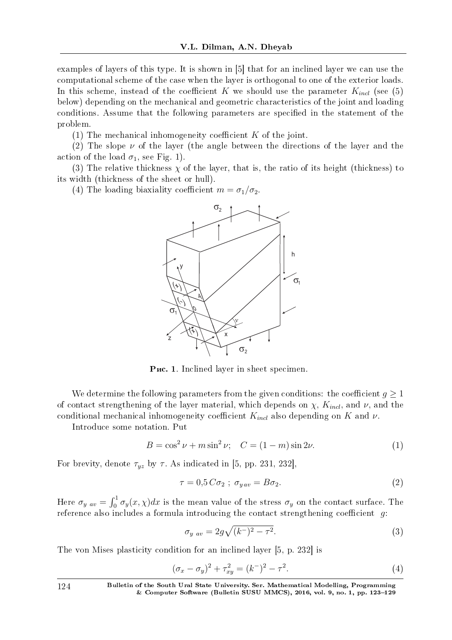examples of layers of this type. It is shown in [5] that for an inclined layer we can use the computational scheme of the case when the layer is orthogonal to one of the exterior loads. In this scheme, instead of the coefficient  $K$  we should use the parameter  $K_{incl}$  (see (5) below) depending on the mechanical and geometric characteristics of the joint and loading conditions. Assume that the following parameters are specified in the statement of the problem.

 $(1)$  The mechanical inhomogeneity coefficient *K* of the joint.

(2) The slope  $\nu$  of the layer (the angle between the directions of the layer and the action of the load  $\sigma_1$ , see Fig. 1).

(3) The relative thickness  $\chi$  of the layer, that is, the ratio of its height (thickness) to its width (thickness of the sheet or hull).

(4) The loading biaxiality coefficient  $m = \sigma_1/\sigma_2$ .



Puc. 1. Inclined layer in sheet specimen.

We determine the following parameters from the given conditions: the coefficient  $g \geq 1$ of contact strengthening of the layer material, which depends on  $\chi$ ,  $K_{incl}$ , and  $\nu$ , and the conditional mechanical inhomogeneity coefficient  $K_{incl}$  also depending on  $K$  and  $\nu$ .

Introduce some notation. Put

$$
B = \cos^2 \nu + m \sin^2 \nu; \quad C = (1 - m) \sin 2\nu.
$$
 (1)

For brevity, denote  $\tau_{yz}$  by  $\tau$ . As indicated in [5, pp. 231, 232],

$$
\tau = 0.5 C \sigma_2 \; ; \; \sigma_{y \, av} = B \sigma_2. \tag{2}
$$

Here  $\sigma_y$   $_{av} = \int_0^1 \sigma_y(x, \chi) dx$  is the mean value of the stress  $\sigma_y$  on the contact surface. The reference also includes a formula introducing the contact strengthening coefficient  $g$ :

$$
\sigma_{y \ av} = 2g\sqrt{(k^-)^2 - \tau^2}.\tag{3}
$$

The von Mises plasticity condition for an inclined layer [5, p. 232] is

$$
(\sigma_x - \sigma_y)^2 + \tau_{xy}^2 = (k^-)^2 - \tau^2.
$$
 (4)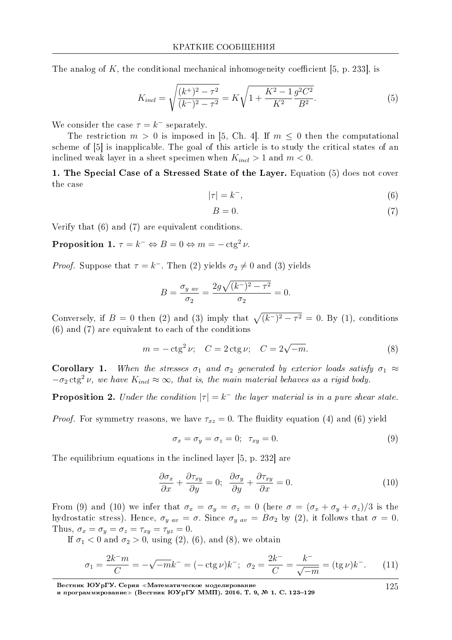The analog of K, the conditional mechanical inhomogeneity coefficient [5, p. 233], is

$$
K_{incl} = \sqrt{\frac{(k^+)^2 - \tau^2}{(k^-)^2 - \tau^2}} = K\sqrt{1 + \frac{K^2 - 1}{K^2} \frac{g^2 C^2}{B^2}}.
$$
\n<sup>(5)</sup>

We consider the case  $\tau = k^-$  separately.

The restriction  $m > 0$  is imposed in [5, Ch. 4]. If  $m \leq 0$  then the computational scheme of [5] is inapplicable. The goal of this article is to study the critical states of an inclined weak layer in a sheet specimen when  $K_{incl} > 1$  and  $m < 0$ .

1. The Special Case of a Stressed State of the Layer. Equation (5) does not cover the case

$$
|\tau| = k^-, \tag{6}
$$

$$
B = 0.\t\t(7)
$$

Verify that  $(6)$  and  $(7)$  are equivalent conditions.

**Proposition 1.**  $\tau = k^- \Leftrightarrow B = 0 \Leftrightarrow m = -\csc^2 \nu$ .

*Proof.* Suppose that  $\tau = k^{-}$ . Then (2) yields  $\sigma_2 \neq 0$  and (3) yields

$$
B = \frac{\sigma_{y \, av}}{\sigma_2} = \frac{2g\sqrt{(k^-)^2 - \tau^2}}{\sigma_2} = 0.
$$

Conversely, if  $B = 0$  then (2) and (3) imply that  $\sqrt{(k^-)^2 - \tau^2} = 0$ . By (1), conditions  $(6)$  and  $(7)$  are equivalent to each of the conditions

$$
m = -ctg^{2}\nu; \quad C = 2ctg\nu; \quad C = 2\sqrt{-m}.
$$
 (8)

**Corollary 1.** When the stresses  $\sigma_1$  and  $\sigma_2$  generated by exterior loads satisfy  $\sigma_1 \approx$  $-\sigma_2$  etg<sup>2</sup> v, we have  $K_{incl} \approx \infty$ , that is, the main material behaves as a rigid body.

**Proposition 2.** Under the condition  $|\tau| = k^-$  the layer material is in a pure shear state.

*Proof.* For symmetry reasons, we have  $\tau_{xz} = 0$ . The fluidity equation (4) and (6) yield

$$
\sigma_x = \sigma_y = \sigma_z = 0; \quad \tau_{xy} = 0. \tag{9}
$$

The equilibrium equations in the inclined layer [5, p. 232] are

$$
\frac{\partial \sigma_x}{\partial x} + \frac{\partial \tau_{xy}}{\partial y} = 0; \quad \frac{\partial \sigma_y}{\partial y} + \frac{\partial \tau_{xy}}{\partial x} = 0.
$$
 (10)

From (9) and (10) we infer that  $\sigma_x = \sigma_y = \sigma_z = 0$  (here  $\sigma = (\sigma_x + \sigma_y + \sigma_z)/3$  is the hydrostatic stress). Hence,  $\sigma_{yav} = \sigma$ . Since  $\sigma_{yav} = B\sigma_2$  by (2), it follows that  $\sigma = 0$ . Thus,  $\sigma_x = \sigma_y = \sigma_z = \tau_{xy} = \tau_{yz} = 0$ .

If  $\sigma_1 < 0$  and  $\sigma_2 > 0$ , using (2), (6), and (8), we obtain

$$
\sigma_1 = \frac{2k^-m}{C} = -\sqrt{-m}k^- = (-\operatorname{ctg}\nu)k^-; \quad \sigma_2 = \frac{2k^-}{C} = \frac{k^-}{\sqrt{-m}} = (\operatorname{tg}\nu)k^-.
$$
 (11)

Вестник ЮУрГУ. Серия «Математическое моделирование<br>и программирование» (Вестник ЮУрГУ ММП). 2016. Т. 9, № 1. С. 123-129

125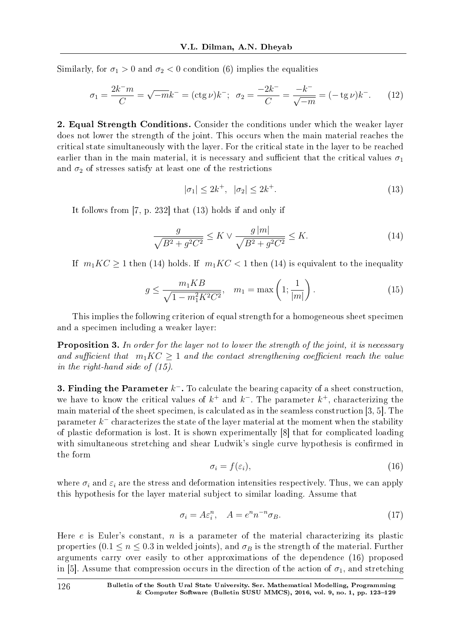Similarly, for  $\sigma_1 > 0$  and  $\sigma_2 < 0$  condition (6) implies the equalities

$$
\sigma_1 = \frac{2k^-m}{C} = \sqrt{-m}k^- = (\text{ctg }\nu)k^-; \quad \sigma_2 = \frac{-2k^-}{C} = \frac{-k^-}{\sqrt{-m}} = (-\text{tg }\nu)k^-.
$$
 (12)

2. Equal Strength Conditions. Consider the conditions under which the weaker layer does not lower the strength of the joint. This occurs when the main material reaches the critical state simultaneously with the layer. For the critical state in the layer to be reached earlier than in the main material, it is necessary and sufficient that the critical values  $\sigma_1$ and  $\sigma_2$  of stresses satisfy at least one of the restrictions

$$
|\sigma_1| \le 2k^+, \quad |\sigma_2| \le 2k^+.
$$
\n
$$
(13)
$$

It follows from [7, p. 232] that (13) holds if and only if

$$
\frac{g}{\sqrt{B^2 + g^2 C^2}} \le K \vee \frac{g|m|}{\sqrt{B^2 + g^2 C^2}} \le K.
$$
\n(14)

If  $m_1KC \geq 1$  then (14) holds. If  $m_1 KC < 1$  then (14) is equivalent to the inequality

$$
g \le \frac{m_1 K B}{\sqrt{1 - m_1^2 K^2 C^2}}, \quad m_1 = \max\left(1; \frac{1}{|m|}\right). \tag{15}
$$

This implies the following criterion of equal strength for a homogeneous sheet specimen and a specimen including a weaker layer:

**Proposition 3.** In order for the layer not to lower the strength of the joint, it is necessary and sufficient that  $m_1KC \geq 1$  and the contact strengthening coefficient reach the value in the right-hand side of (15).

3. Finding the Parameter *k <sup>−</sup>*. To calculate the bearing capacity of a sheet construction, we have to know the critical values of  $k^+$  and  $k^-$ . The parameter  $k^+$ , characterizing the main material of the sheet specimen, is calculated as in the seamless construction [3, 5]. The parameter *k <sup>−</sup>* characterizes the state of the layer material at the moment when the stability of plastic deformation is lost. It is shown experimentally [8] that for complicated loading with simultaneous stretching and shear Ludwik's single curve hypothesis is confirmed in the form

$$
\sigma_i = f(\varepsilon_i),\tag{16}
$$

where  $\sigma_i$  and  $\varepsilon_i$  are the stress and deformation intensities respectively. Thus, we can apply this hypothesis for the layer material subject to similar loading. Assume that

$$
\sigma_i = A \varepsilon_i^n, \quad A = e^n n^{-n} \sigma_B. \tag{17}
$$

Here *e* is Euler's constant, *n* is a parameter of the material characterizing its plastic properties  $(0.1 \le n \le 0.3$  in welded joints), and  $\sigma_B$  is the strength of the material. Further arguments carry over easily to other approximations of the dependence (16) proposed in [5]. Assume that compression occurs in the direction of the action of  $\sigma_1$ , and stretching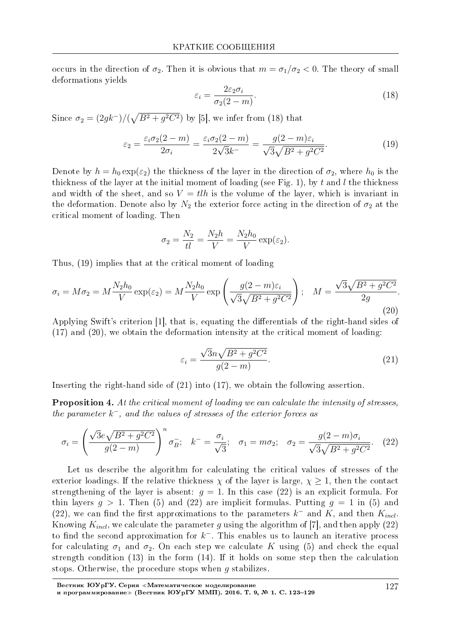occurs in the direction of  $\sigma_2$ . Then it is obvious that  $m = \sigma_1/\sigma_2 < 0$ . The theory of small deformations yields

$$
\varepsilon_i = \frac{2\varepsilon_2 \sigma_i}{\sigma_2 (2-m)}.\tag{18}
$$

Since  $\sigma_2 = (2gk^{-})/(\sqrt{B^2+g^2C^2})$  by [5], we infer from (18) that

$$
\varepsilon_2 = \frac{\varepsilon_i \sigma_2 (2 - m)}{2\sigma_i} = \frac{\varepsilon_i \sigma_2 (2 - m)}{2\sqrt{3}k^-} = \frac{g(2 - m)\varepsilon_i}{\sqrt{3}\sqrt{B^2 + g^2 C^2}}.
$$
(19)

Denote by  $h = h_0 \exp(\varepsilon_2)$  the thickness of the layer in the direction of  $\sigma_2$ , where  $h_0$  is the thickness of the layer at the initial moment of loading (see Fig. 1), by t and l the thickness and width of the sheet, and so  $V = t\ell h$  is the volume of the layer, which is invariant in the deformation. Denote also by  $N_2$  the exterior force acting in the direction of  $\sigma_2$  at the critical moment of loading. Then

$$
\sigma_2 = \frac{N_2}{tl} = \frac{N_2h}{V} = \frac{N_2h_0}{V} \exp(\varepsilon_2).
$$

Thus, (19) implies that at the critical moment of loading

$$
\sigma_i = M\sigma_2 = M\frac{N_2h_0}{V} \exp(\varepsilon_2) = M\frac{N_2h_0}{V} \exp\left(\frac{g(2-m)\varepsilon_i}{\sqrt{3}\sqrt{B^2 + g^2C^2}}\right); \quad M = \frac{\sqrt{3}\sqrt{B^2 + g^2C^2}}{2g}.
$$
\n(20)

Applying Swift's criterion [1], that is, equating the differentials of the right-hand sides of  $(17)$  and  $(20)$ , we obtain the deformation intensity at the critical moment of loading.

$$
\varepsilon_i = \frac{\sqrt{3}n\sqrt{B^2 + g^2C^2}}{g(2-m)}.\tag{21}
$$

Inserting the right-hand side of  $(21)$  into  $(17)$ , we obtain the following assertion.

**Proposition 4.** At the critical moment of loading we can calculate the intensity of stresses, the parameter  $k^-$ , and the values of stresses of the exterior forces as

$$
\sigma_i = \left(\frac{\sqrt{3}e\sqrt{B^2 + g^2 C^2}}{g(2-m)}\right)^n \sigma_B^-, \quad k^- = \frac{\sigma_i}{\sqrt{3}}; \quad \sigma_1 = m\sigma_2; \quad \sigma_2 = \frac{g(2-m)\sigma_i}{\sqrt{3}\sqrt{B^2 + g^2 C^2}}.\tag{22}
$$

Let us describe the algorithm for calculating the critical values of stresses of the exterior loadings. If the relative thickness  $\chi$  of the layer is large,  $\chi \geq 1$ , then the contact strengthening of the layer is absent:  $q = 1$ . In this case (22) is an explicit formula. For thin layers  $q > 1$ . Then (5) and (22) are implicit formulas. Putting  $q = 1$  in (5) and (22), we can find the first approximations to the parameters  $k^-$  and K, and then  $K_{incl}$ Knowing  $K_{incl}$ , we calculate the parameter g using the algorithm of [7], and then apply (22) to find the second approximation for  $k^-$ . This enables us to launch an iterative process for calculating  $\sigma_1$  and  $\sigma_2$ . On each step we calculate K using (5) and check the equal strength condition  $(13)$  in the form  $(14)$ . If it holds on some step then the calculation stops. Otherwise, the procedure stops when  $g$  stabilizes.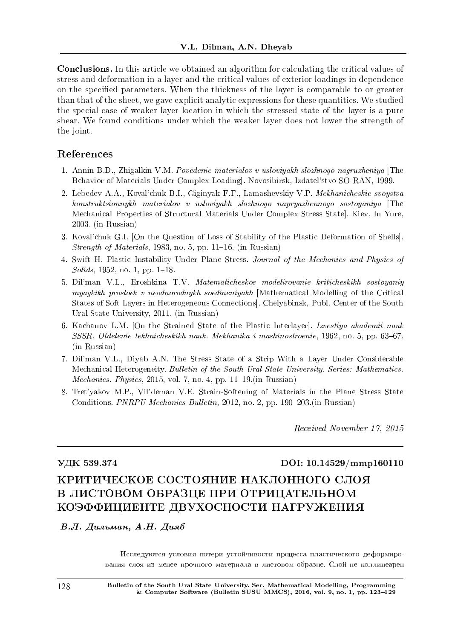Conclusions. In this article we obtained an algorithm for calculating the critical values of stress and deformation in a layer and the critical values of exterior loadings in dependence on the specified parameters. When the thickness of the layer is comparable to or greater than that of the sheet, we gave explicit analytic expressions for these quantities. We studied the special case of weaker layer location in which the stressed state of the layer is a pure shear. We found conditions under which the weaker layer does not lower the strength of the joint.

## References

- 1. Annin B.D., Zhigalkin V.M. Povedenie materialov v usloviyakh slozhnogo nagruzheniya [The Behavior of Materials Under Complex Loading]. Novosibirsk, Izdatel'stvo SO RAN, 1999.
- 2. Lebedev A.A., Koval'chuk B.I., Giginyak F.F., Lamashevskiy V.P. Mekhanicheskie svoystva konstruktsionnykh materialov v usloviyakh slozhnogo napryazhennogo sostoyaniya [The Mechanical Properties of Structural Materials Under Complex Stress State]. Kiev, In Yure, 2003. (in Russian)
- 3. Koval'chuk G.I. [On the Question of Loss of Stability of the Plastic Deformation of Shells]. Strength of Materials, 1983, no. 5, pp. 11–16. (in Russian)
- 4. Swift H. Plastic Instability Under Plane Stress. Journal of the Mechanics and Physics of  $Solids, 1952, no. 1, pp. 1-18.$
- 5. Dil'man V.L., Eroshkina T.V. Matematicheskoe modelirovanie kriticheskikh sostoyaniy myagkikh prosloek v neodnorodnykh soedineniyakh [Mathematical Modelling of the Critical States of Soft Layers in Heterogeneous Connections]. Chelyabinsk, Publ. Center of the South Ural State University, 2011. (in Russian)
- 6. Kachanov L.M. [On the Strained State of the Plastic Interlayer]. Izvestiya akademii nauk SSSR. Otdelenie tekhnicheskikh nauk. Mekhanika i mashinostroenie, 1962, no. 5, pp. 63–67. (in Russian)
- 7. Dil'man V.L., Diyab A.N. The Stress State of a Strip With a Layer Under Considerable Mechanical Heterogeneity. Bulletin of the South Ural State University. Series: Mathematics. *Mechanics. Physics*, 2015, vol. 7, no. 4, pp. 11–19.(in Russian)
- 8. Tret'yakov M.P., Vil'deman V.E. Strain-Softening of Materials in the Plane Stress State Conditions. PNRPU Mechanics Bulletin, 2012, no. 2, pp. 190-203. (in Russian)

Received November 17, 2015

### VДK 539.374 DOI: 10.14529/mmp160110

# КРИТИЧЕСКОЕ СОСТОЯНИЕ НАКЛОННОГО СЛОЯ В ЛИСТОВОМ ОБРАЗЦЕ ПРИ ОТРИЦАТЕЛЬНОМ КОЭФФИЦИЕНТЕ ДВУХОСНОСТИ НАГРУЖЕНИЯ

В.Л. Дильман, А.Н. Дияб

Исследуются условия потери устойчивости процесса пластического деформирования слоя из менее прочного материала в листовом образце. Слой не коллинеарен